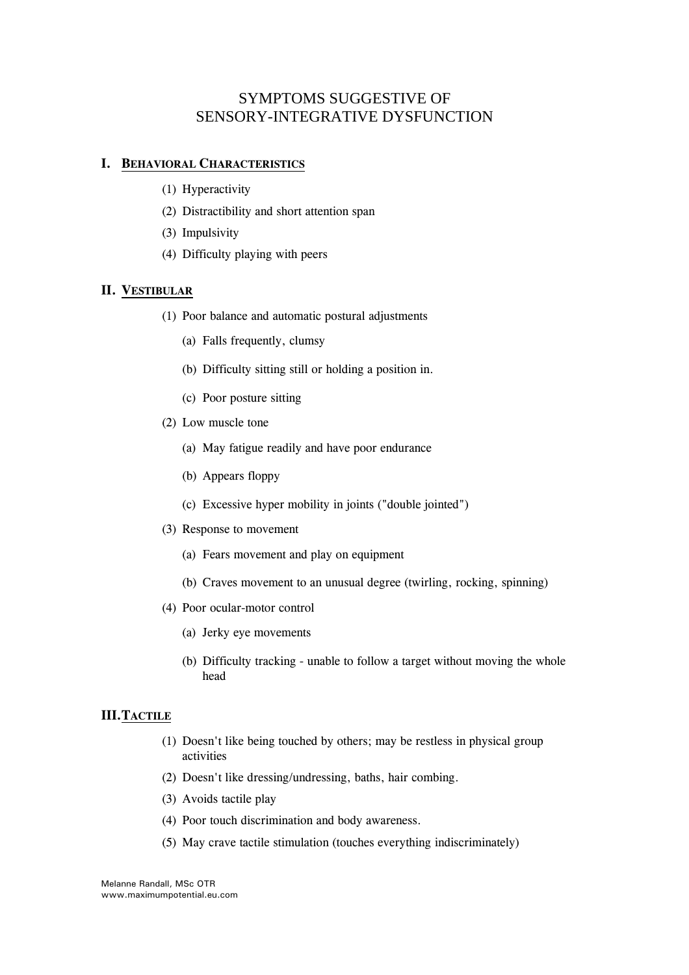# SYMPTOMS SUGGESTIVE OF SENSORY-INTEGRATIVE DYSFUNCTION

#### **I. BEHAVIORAL CHARACTERISTICS**

- (1) Hyperactivity
- (2) Distractibility and short attention span
- (3) Impulsivity
- (4) Difficulty playing with peers

## **II. VESTIBULAR**

- (1) Poor balance and automatic postural adjustments
	- (a) Falls frequently, clumsy
	- (b) Difficulty sitting still or holding a position in.
	- (c) Poor posture sitting
- (2) Low muscle tone
	- (a) May fatigue readily and have poor endurance
	- (b) Appears floppy
	- (c) Excessive hyper mobility in joints ("double jointed")
- (3) Response to movement
	- (a) Fears movement and play on equipment
	- (b) Craves movement to an unusual degree (twirling, rocking, spinning)
- (4) Poor ocular-motor control
	- (a) Jerky eye movements
	- (b) Difficulty tracking unable to follow a target without moving the whole head

#### **III.TACTILE**

- (1) Doesn't like being touched by others; may be restless in physical group activities
- (2) Doesn't like dressing/undressing, baths, hair combing.
- (3) Avoids tactile play
- (4) Poor touch discrimination and body awareness.
- (5) May crave tactile stimulation (touches everything indiscriminately)